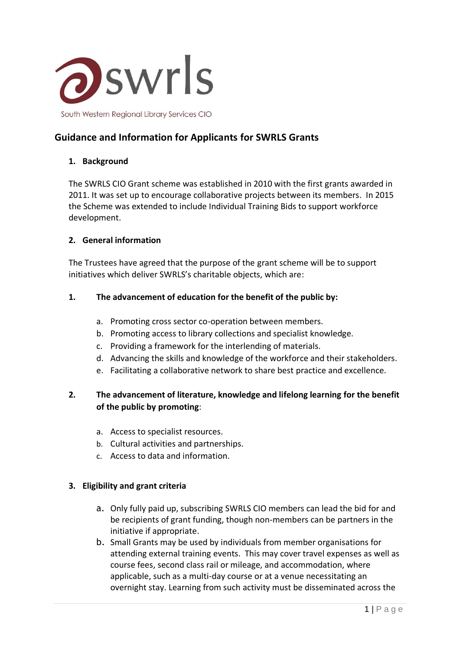

# **Guidance and Information for Applicants for SWRLS Grants**

### **1. Background**

The SWRLS CIO Grant scheme was established in 2010 with the first grants awarded in 2011. It was set up to encourage collaborative projects between its members. In 2015 the Scheme was extended to include Individual Training Bids to support workforce development.

#### **2. General information**

The Trustees have agreed that the purpose of the grant scheme will be to support initiatives which deliver SWRLS's charitable objects, which are:

### **1. The advancement of education for the benefit of the public by:**

- a. Promoting cross sector co-operation between members.
- b. Promoting access to library collections and specialist knowledge.
- c. Providing a framework for the interlending of materials.
- d. Advancing the skills and knowledge of the workforce and their stakeholders.
- e. Facilitating a collaborative network to share best practice and excellence.

## **2. The advancement of literature, knowledge and lifelong learning for the benefit of the public by promoting**:

- a. Access to specialist resources.
- b. Cultural activities and partnerships.
- c. Access to data and information.

#### **3. Eligibility and grant criteria**

- a. Only fully paid up, subscribing SWRLS CIO members can lead the bid for and be recipients of grant funding, though non-members can be partners in the initiative if appropriate.
- b. Small Grants may be used by individuals from member organisations for attending external training events. This may cover travel expenses as well as course fees, second class rail or mileage, and accommodation, where applicable, such as a multi-day course or at a venue necessitating an overnight stay. Learning from such activity must be disseminated across the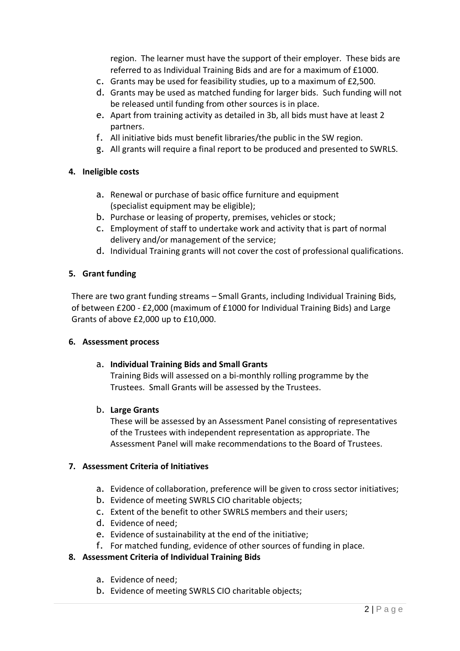region. The learner must have the support of their employer. These bids are referred to as Individual Training Bids and are for a maximum of £1000.

- c. Grants may be used for feasibility studies, up to a maximum of £2,500.
- d. Grants may be used as matched funding for larger bids. Such funding will not be released until funding from other sources is in place.
- e. Apart from training activity as detailed in 3b, all bids must have at least 2 partners.
- f. All initiative bids must benefit libraries/the public in the SW region.
- g. All grants will require a final report to be produced and presented to SWRLS.

#### **4. Ineligible costs**

- a. Renewal or purchase of basic office furniture and equipment (specialist equipment may be eligible);
- b. Purchase or leasing of property, premises, vehicles or stock;
- c. Employment of staff to undertake work and activity that is part of normal delivery and/or management of the service;
- d. Individual Training grants will not cover the cost of professional qualifications.

#### **5. Grant funding**

There are two grant funding streams – Small Grants, including Individual Training Bids, of between £200 - £2,000 (maximum of £1000 for Individual Training Bids) and Large Grants of above £2,000 up to £10,000.

#### **6. Assessment process**

#### a. **Individual Training Bids and Small Grants**

Training Bids will assessed on a bi-monthly rolling programme by the Trustees. Small Grants will be assessed by the Trustees.

#### b. **Large Grants**

These will be assessed by an Assessment Panel consisting of representatives of the Trustees with independent representation as appropriate. The Assessment Panel will make recommendations to the Board of Trustees.

#### **7. Assessment Criteria of Initiatives**

- a. Evidence of collaboration, preference will be given to cross sector initiatives;
- b. Evidence of meeting SWRLS CIO charitable objects;
- c. Extent of the benefit to other SWRLS members and their users;
- d. Evidence of need;
- e. Evidence of sustainability at the end of the initiative;
- f. For matched funding, evidence of other sources of funding in place.

#### **8. Assessment Criteria of Individual Training Bids**

- a. Evidence of need;
- b. Evidence of meeting SWRLS CIO charitable objects;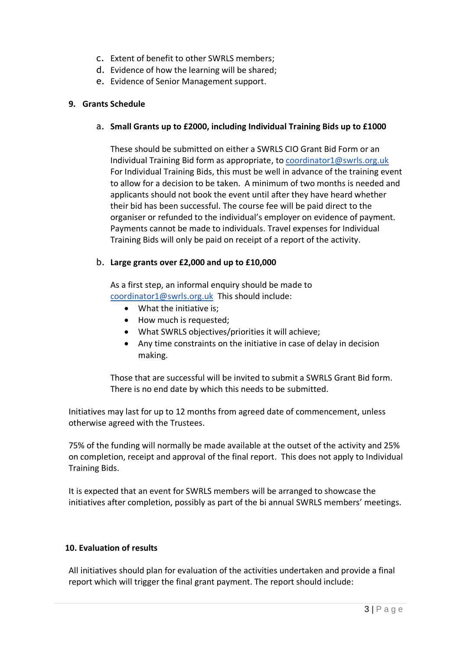- c. Extent of benefit to other SWRLS members;
- d. Evidence of how the learning will be shared;
- e. Evidence of Senior Management support.

## **9. Grants Schedule**

## a. **Small Grants up to £2000, including Individual Training Bids up to £1000**

These should be submitted on either a SWRLS CIO Grant Bid Form or an Individual Training Bid form as appropriate, to [coordinator1@swrls.org.uk](mailto:coordinator1@swrls.org.uk) For Individual Training Bids, this must be well in advance of the training event to allow for a decision to be taken. A minimum of two months is needed and applicants should not book the event until after they have heard whether their bid has been successful. The course fee will be paid direct to the organiser or refunded to the individual's employer on evidence of payment. Payments cannot be made to individuals. Travel expenses for Individual Training Bids will only be paid on receipt of a report of the activity.

## b. **Large grants over £2,000 and up to £10,000**

As a first step, an informal enquiry should be made to [coordinator1@swrls.org.uk](mailto:coordinator1@swrls.org.uk) This should include:

- What the initiative is;
- How much is requested;
- What SWRLS objectives/priorities it will achieve;
- Any time constraints on the initiative in case of delay in decision making.

Those that are successful will be invited to submit a SWRLS Grant Bid form. There is no end date by which this needs to be submitted.

Initiatives may last for up to 12 months from agreed date of commencement, unless otherwise agreed with the Trustees.

75% of the funding will normally be made available at the outset of the activity and 25% on completion, receipt and approval of the final report. This does not apply to Individual Training Bids.

It is expected that an event for SWRLS members will be arranged to showcase the initiatives after completion, possibly as part of the bi annual SWRLS members' meetings.

## **10. Evaluation of results**

All initiatives should plan for evaluation of the activities undertaken and provide a final report which will trigger the final grant payment. The report should include: